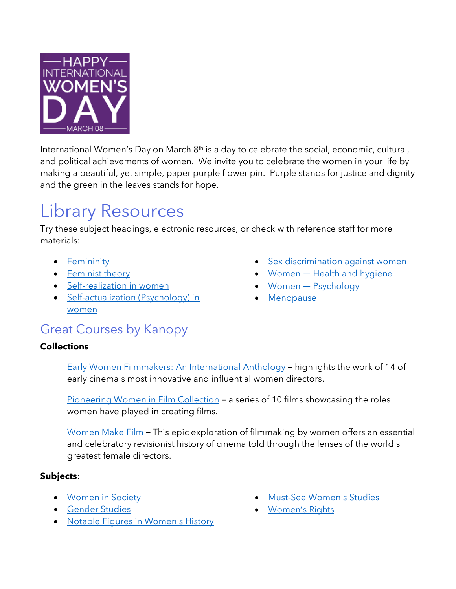

International Women's Day on March 8<sup>th</sup> is a day to celebrate the social, economic, cultural, and political achievements of women. We invite you to celebrate the women in your life by making a beautiful, yet simple, paper purple flower pin. Purple stands for justice and dignity and the green in the leaves stands for hope.

# Library Resources

Try these subject headings, electronic resources, or check with reference staff for more materials:

- [Femininity](https://orl.bibliocommons.com/v2/search?searchType=subject&query=%22Femininity.%22)
- [Feminist theory](https://orl.bibliocommons.com/v2/search?searchType=subject&query=%22Feminist%20theory.%22)
- [Self-realization in women](https://orl.bibliocommons.com/v2/search?searchType=subject&query=%22Self-realization%20in%20women.%22)
- Self-actualization (Psychology) in [women](https://orl.bibliocommons.com/v2/search?searchType=subject&query=%22Self-actualization%20(Psychology)%20in%20women.%22)
- [Sex discrimination against women](https://orl.bibliocommons.com/v2/search?searchType=subject&query=%22Sex%20discrimination%20against%20women.%22)
- Women [Health and hygiene](https://orl.bibliocommons.com/v2/search?searchType=subject&query=%22Women%20%E2%80%94%20Health%20and%20hygiene.%22)
- Women [Psychology](https://orl.bibliocommons.com/v2/search?searchType=subject&query=%22Women%20%E2%80%94%20Psychology.%22)
- [Menopause](https://orl.bibliocommons.com/v2/search?searchType=subject&query=menopause)

## [Great Courses by Kanopy](https://orl.bc.ca/elibrary/elearning/the-great-courses)

#### **Collections**:

Early Women Filmmakers: An International Anthology – highlights the work of 14 of early cinema's most innovative and influential women directors.

[Pioneering Women in Film Collection](https://orlbc.kanopy.com/video/filmmakers-film-series) – a series of 10 films showcasing the roles women have played in creating films.

[Women Make Film](https://orlbc.kanopy.com/video/women-make-film) – This epic exploration of filmmaking by women offers an essential and celebratory revisionist history of cinema told through the lenses of the world's greatest female directors.

#### **Subjects**:

- [Women in Society](https://orlbc.kanopy.com/category/29288)
- [Gender Studies](https://orlbc.kanopy.com/category/869)
- [Notable Figures in Women's History](https://orlbc.kanopy.com/category/41788)
- [Must-See Women's Studies](https://orlbc.kanopy.com/category/37422)
- [Women](https://orlbc.kanopy.com/category/13559)'s Rights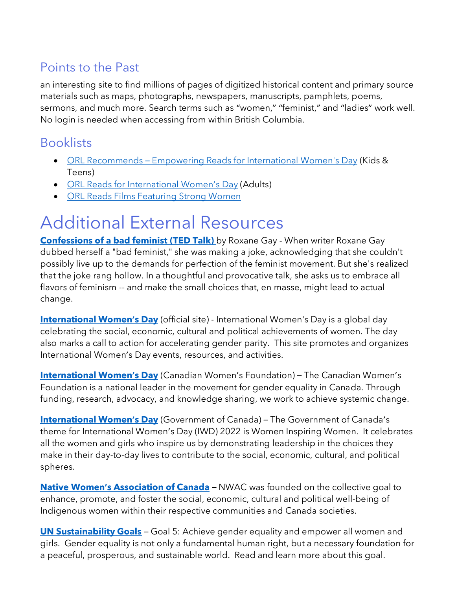## [Points to the Past](https://pointstothepast.ca/)

an interesting site to find millions of pages of digitized historical content and primary source materials such as maps, photographs, newspapers, manuscripts, pamphlets, poems, sermons, and much more. Search terms such as "women," "feminist," and "ladies" work well. No login is needed when accessing from within British Columbia.

### Booklists

- ORL Recommends [Empowering Reads for International Women's Day](https://orl.bibliocommons.com/list/share/177183573_orlreads_youthservices/2057171709_orl_recommends_empowering_reads_for_international_womens_day) (Kids & Teens)
- [ORL Reads for International Women](https://orl.bibliocommons.com/list/share/675410617_orlreads/2059487109_orl_reads_for_international_womens_day)'s Day (Adults)
- [ORL Reads Films Featuring Strong Women](https://orl.bibliocommons.com/list/share/675410617_orlreads/2059491039_orl_reads_films_featuring_strong_women)

# Additional External Resources

**Confessions of a bad feminist (TED Talk)** by Roxane Gay - When writer Roxane Gay dubbed herself a "bad feminist," she was making a joke, acknowledging that she couldn't possibly live up to the demands for perfection of the feminist movement. But she's realized that the joke rang hollow. In a thoughtful and provocative talk, she asks us to embrace all flavors of feminism -- and make the small choices that, en masse, might lead to actual change.

**[International Women](https://www.internationalwomensday.com/)'s Day** (official site) - International Women's Day is a global day celebrating the social, economic, cultural and political achievements of women. The day also marks a call to action for accelerating gender parity. This site promotes and organizes International Women's Day events, resources, and activities.

**[International Women](https://canadianwomen.org/international-womens-day-2022/)'s Day** (Canadian Women's Foundation) – The Canadian Women's Foundation is a national leader in the movement for gender equality in Canada. Through funding, research, advocacy, and knowledge sharing, we work to achieve systemic change.

**[International Women](https://women-gender-equality.canada.ca/en/commemorations-celebrations/international-womens-day.html)'s Day** (Government of Canada) – The Government of Canada's theme for International Women's Day (IWD) 2022 is Women Inspiring Women. It celebrates all the women and girls who inspire us by demonstrating leadership in the choices they make in their day-to-day lives to contribute to the social, economic, cultural, and political spheres.

**Native Women'[s Association of Canada](https://www.nwac.ca/)** – NWAC was founded on the collective goal to enhance, promote, and foster the social, economic, cultural and political well-being of Indigenous women within their respective communities and Canada societies.

**[UN Sustainability Goals](https://www.un.org/sustainabledevelopment/gender-equality/)** – Goal 5: Achieve gender equality and empower all women and girls. Gender equality is not only a fundamental human right, but a necessary foundation for a peaceful, prosperous, and sustainable world. Read and learn more about this goal.